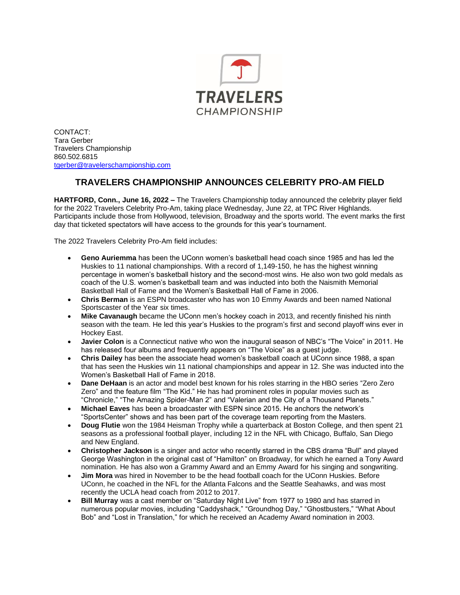

CONTACT: Tara Gerber Travelers Championship 860.502.6815 [tgerber@travelerschampionship.com](mailto:tgerber@travelerschampionship.com)

## **TRAVELERS CHAMPIONSHIP ANNOUNCES CELEBRITY PRO-AM FIELD**

**HARTFORD, Conn., June 16, 2022 –** The Travelers Championship today announced the celebrity player field for the 2022 Travelers Celebrity Pro-Am, taking place Wednesday, June 22, at TPC River Highlands. Participants include those from Hollywood, television, Broadway and the sports world. The event marks the first day that ticketed spectators will have access to the grounds for this year's tournament.

The 2022 Travelers Celebrity Pro-Am field includes:

- **Geno Auriemma** has been the UConn women's basketball head coach since 1985 and has led the Huskies to 11 national championships. With a record of 1,149-150, he has the highest winning percentage in women's basketball history and the second-most wins. He also won two gold medals as coach of the U.S. women's basketball team and was inducted into both the Naismith Memorial Basketball Hall of Fame and the Women's Basketball Hall of Fame in 2006.
- **Chris Berman** is an ESPN broadcaster who has won 10 Emmy Awards and been named National Sportscaster of the Year six times.
- **Mike Cavanaugh** became the UConn men's hockey coach in 2013, and recently finished his ninth season with the team. He led this year's Huskies to the program's first and second playoff wins ever in Hockey East.
- **Javier Colon** is a Connecticut native who won the inaugural season of NBC's "The Voice" in 2011. He has released four albums and frequently appears on "The Voice" as a guest judge.
- **Chris Dailey** has been the associate head women's basketball coach at UConn since 1988, a span that has seen the Huskies win 11 national championships and appear in 12. She was inducted into the Women's Basketball Hall of Fame in 2018.
- **Dane DeHaan** is an actor and model best known for his roles starring in the HBO series "Zero Zero Zero" and the feature film "The Kid." He has had prominent roles in popular movies such as "Chronicle," "The Amazing Spider-Man 2" and "Valerian and the City of a Thousand Planets."
- **Michael Eaves** has been a broadcaster with ESPN since 2015. He anchors the network's "SportsCenter" shows and has been part of the coverage team reporting from the Masters.
- **Doug Flutie** won the 1984 Heisman Trophy while a quarterback at Boston College, and then spent 21 seasons as a professional football player, including 12 in the NFL with Chicago, Buffalo, San Diego and New England.
- **Christopher Jackson** is a singer and actor who recently starred in the CBS drama "Bull" and played George Washington in the original cast of "Hamilton" on Broadway, for which he earned a Tony Award nomination. He has also won a Grammy Award and an Emmy Award for his singing and songwriting.
- **Jim Mora** was hired in November to be the head football coach for the UConn Huskies. Before UConn, he coached in the NFL for the Atlanta Falcons and the Seattle Seahawks, and was most recently the UCLA head coach from 2012 to 2017.
- **Bill Murray** was a cast member on "Saturday Night Live" from 1977 to 1980 and has starred in numerous popular movies, including "Caddyshack," "Groundhog Day," "Ghostbusters," "What About Bob" and "Lost in Translation," for which he received an Academy Award nomination in 2003.